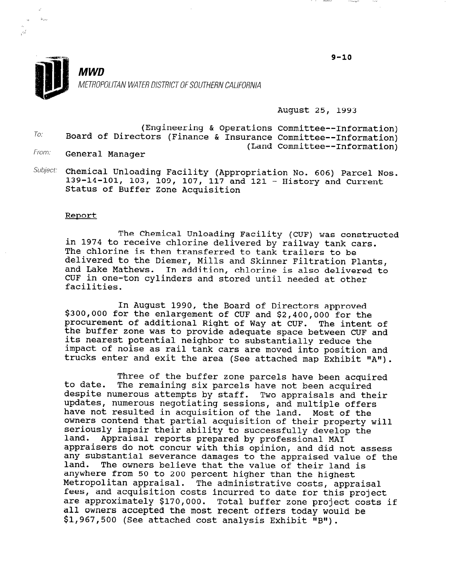9-10



August 25, 1993

To: (Engineering & Operations Committee--Informat: Board of Directors (Finance & Insurance Committee--Informat: From: (Land Committee--Informat:

General Manager

 $Subject:$  Chemical Unloading Facility (Appropriation No. 606) Parcel Nos. 139-14-101, 103, 109, 107, 117 and 121 - History and Current Status of Buffer Zone Acquisition

#### Report

The Chemical Unloading Facility (CUF) was constructed in 1974 to receive chlorine delivered by railway tank cars. The chlorine is then transferred to tank trailers to be delivered to the Diemer, Mills and Skinner Filtration Plants, and Lake Mathews. In addition, chlorine is also delivered to CUF in one-ton cylinders and stored until needed at other facilities.

In August 1990, the Board of Directors approved \$300,000 for the enlargement of CUF and \$2,400,000 for the procurement of additional Right of Way at CUF. The intent of the buffer zone was to provide adequate space between CUF and its nearest potential neighbor to substantially reduce the impact of noise as rail tank cars are moved into position and trucks enter and exit the area (See attached map Exhibit "A").

to date. Three of the buffer zone parcels have been acquired The remaining six parcels have not been acquired despite numerous attempts by staff. Two appraisals and their updates, numerous negotiating sessions, and multiple offers have not resulted in acquisition of the land. Most of the owners contend that partial acquisition of their property will seriously impair their ability to successfully develop the land. Appraisal reports prepared by professional MA1 appraisers do not concur with this opinion, and did not assess appraisers do not concur with this opinion, and did not assess any substantial severance damages to the appraised value of the land. The owners believe that the value of their land is any. The owners believe that the value of their fanction. digwicle from 50 to 200 percent inquer than the nighest Metropolitan appraisal. The administrative costs, appraisal<br>fees, and acquisition costs incurred to date for this project zees, and acquisition costs incurred to date for this project. all owners accepted the most recent offers today would be all Uwhels accepted the most recent chiefs today would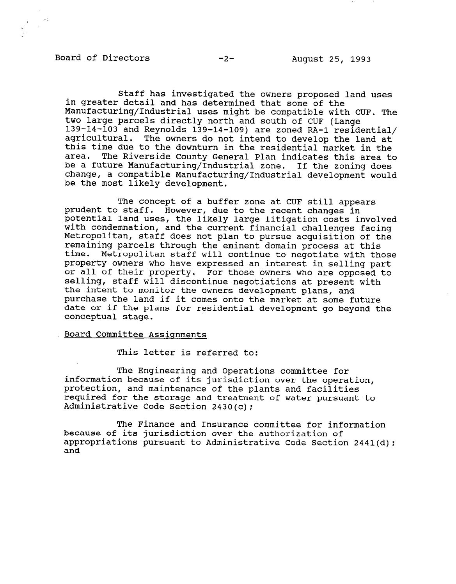### Board of Directors -2- August 25, 1993

Staff has investigated the owners proposed land uses in greater detail and has determined that some of the Manufacturing/Industrial uses might be compatible with CUF. The two large parcels directly north and south of CUF (Lange 139-14-103 and Reynolds 139-14-109) are zoned RA-1 residential/ agricultural. The owners do not intend to develop the land at this time due to the downturn in the residential market in the area. The Riverside County General Plan indicates this area to be a future Manufacturing/Industrial zone. If the zoning does change, a compatible Manufacturing/Industrial development would be the most likely development.

The concept of a buffer zone at CUF still appears prudent to staff. However, due to the recent changes in pruucht to start. However, uue to the recent changes in<br>notential land uses, the likely large litigation costs involv pocential fand uses, the finely farge fittigation costs finoly with condemnation, and the current financial charlenges facing recroportian, start does not plan to pursue acquisition of remaining parcels through the eminent domain process at this<br>time. Metropolitan staff will continue to negotiate with the time. Metropolitan staff will continue to negotiate with those<br>property owners who have expressed an interest in selling part property owners who have ul al<br>selli pressed an interest in sering part state the property. For those owners who are opposed selling, staff will discontinue negotiations at present with the intent to monitor the owners development plans, and purchase the land if it comes onto the market at some future date or if the plans for residential development go beyond the conceptual stage.

#### Board Committee Assignments

This letter is referred to:

The Engineering and Operations committee for information because of the Engineering and Operations committee for  $\mathbf x$ information because of its jurisdiction over the operation, protection, and maintenance of the plants and facilities required for the storage and treatment of water pursuant to Administrative Code Section  $2430(c)$ ;

The Finance and Insurance committee for inf because of its jurisdiction over the authorization of appropriations pursuant to Administrative Code Section 2441(d); and

The Finance and Insurance committee for information  $\mathcal{L}_\mathcal{F}$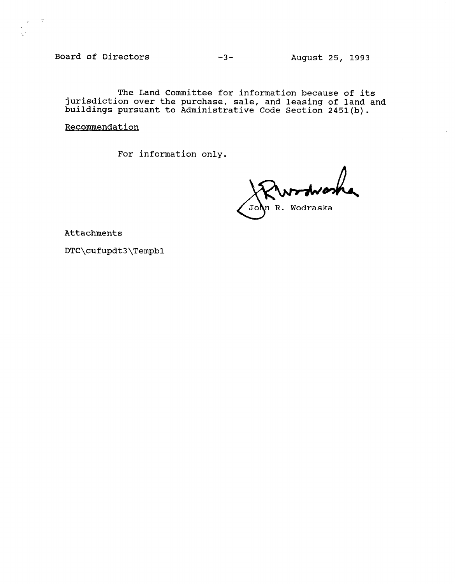Board of Directors -3- August 25, 1993

The Land Committee for information because of it jurisdiction over the purchase, sale, and leasing of land and buildings pursuant to Administrative Code Section 2451(b).

**Recommendation** 

For information only.

R. Wodraska

Attachments

DTC\cufupdt3\Tempbl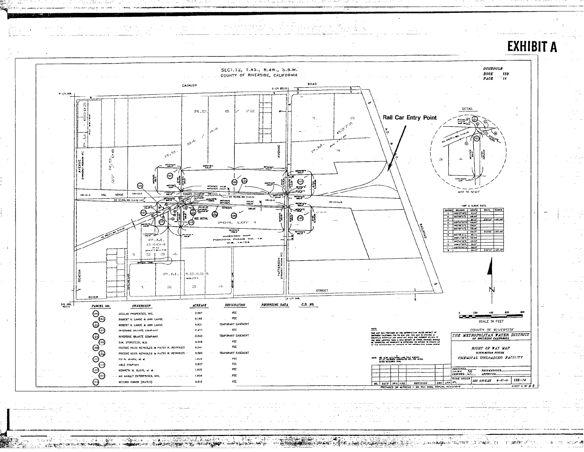

 $\overline{u}$ 

 $\mathbb{Z}$  . The decay is

**CONTRACTOR OF A PIC THERE IN THE F** 

ticket.

ALIKAALAL TELIMI

r istoriale tre l  $\tau$  . and for  $\tau$